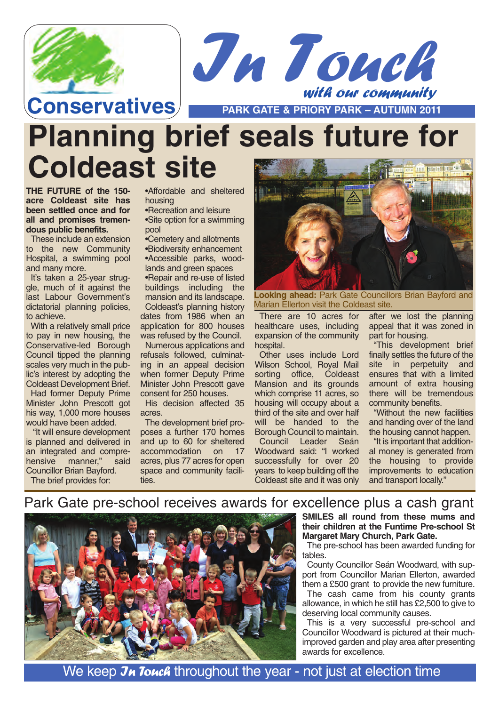



**Conservatives PARK GATE & PRIORY PARK – AUTUMN 2011** 

# **Planning brief seals future for Coldeast site**

**THE FUTURE of the 150 acre Coldeast site has been settled once and for all and promises tremendous public benefits.**

These include an extension to the new Community Hospital, a swimming pool and many more.

It's taken a 25-year struggle, much of it against the last Labour Government's dictatorial planning policies, to achieve.

With a relatively small price to pay in new housing, the Conservative-led Borough Council tipped the planning scales very much in the public's interest by adopting the Coldeast Development Brief.

Had former Deputy Prime Minister John Prescott got his way, 1,000 more houses would have been added.

"It will ensure development is planned and delivered in an integrated and comprehensive manner," said Councillor Brian Bayford. The brief provides for:

•Affordable and sheltered housing

•Recreation and leisure •Site option for a swimming pool

•Cemetery and allotments •Biodiversity enhancement •Accessible parks, woodlands and green spaces

•Repair and re-use of listed buildings including the mansion and its landscape. Coldeast's planning history dates from 1986 when an application for 800 houses was refused by the Council.

Numerous applications and refusals followed, culminating in an appeal decision when former Deputy Prime Minister John Prescott gave consent for 250 houses.

His decision affected 35 acres.

The development brief proposes a further 170 homes and up to 60 for sheltered accommodation on 17 acres, plus 77 acres for open space and community facilities.



**Looking ahead:** Park Gate Councillors Brian Bayford and Marian Ellerton visit the Coldeast site.

There are 10 acres for healthcare uses, including expansion of the community hospital.

Other uses include Lord Wilson School, Royal Mail sorting office, Coldeast Mansion and its grounds which comprise 11 acres, so housing will occupy about a third of the site and over half will be handed to the Borough Council to maintain.

Council Leader Seán Woodward said: "I worked successfully for over 20 years to keep building off the Coldeast site and it was only

after we lost the planning appeal that it was zoned in part for housing.

"This development brief finally settles the future of the site in perpetuity and ensures that with a limited amount of extra housing there will be tremendous community benefits.

"Without the new facilities and handing over of the land the housing cannot happen.

"It is important that additional money is generated from the housing to provide improvements to education and transport locally."

Park Gate pre-school receives awards for excellence plus a cash grant



**SMILES all round from these mums and their children at the Funtime Pre-school St Margaret Mary Church, Park Gate.**

The pre-school has been awarded funding for tables.

County Councillor Seán Woodward, with support from Councillor Marian Ellerton, awarded them a £500 grant to provide the new furniture.

The cash came from his county grants allowance, in which he still has £2,500 to give to deserving local community causes.

This is a very successful pre-school and Councillor Woodward is pictured at their muchimproved garden and play area after presenting awards for excellence.

We keep Jn Touck throughout the year - not just at election time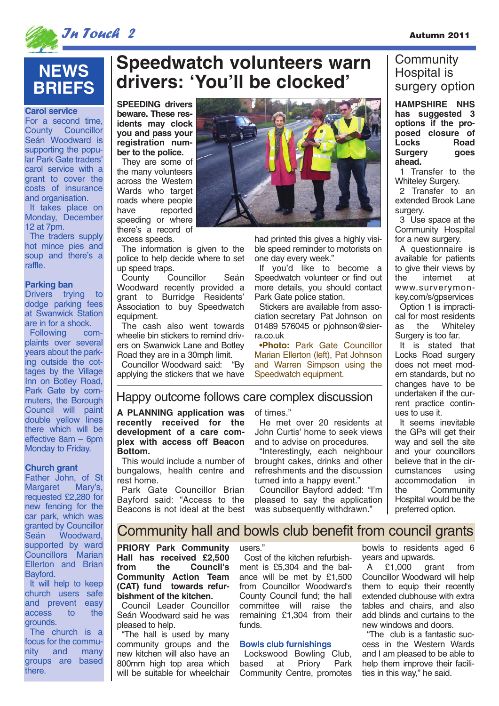

### **NEWS BRIEFS**

**Carol service**

For a second time, County Councillor Seán Woodward is supporting the popular Park Gate traders' carol service with a grant to cover the costs of insurance and organisation. It takes place on

Monday, December 12 at 7pm.

The traders supply hot mince pies and soup and there's a raffle.

#### **Parking ban**

Drivers trying to dodge parking fees at Swanwick Station are in for a shock.

Following complaints over several years about the parking outside the cottages by the Village Inn on Botley Road, Park Gate by commuters, the Borough Council will paint double yellow lines there which will be effective 8am – 6pm Monday to Friday.

#### **Church grant**

Father John, of St<br>Margaret Mary's, Margaret requested £2,280 for new fencing for the car park, which was granted by Councillor Seán Woodward, supported by ward Councillors Marian Ellerton and Brian Bayford.

It will help to keep church users safe and prevent easy<br>access to the access grounds.

The church is a focus for the community and many groups are based there.

## **Speedwatch volunteers warn drivers: 'You'll be clocked'**

**SPEEDING drivers beware. These residents may clock you and pass your registration number to the police.**

They are some of the many volunteers across the Western Wards who target roads where people<br>have reported reported speeding or where there's a record of excess speeds.

The information is given to the police to help decide where to set up speed traps.

County Councillor Seán Woodward recently provided a grant to Burridge Residents' Association to buy Speedwatch equipment.

The cash also went towards wheelie bin stickers to remind drivers on Swanwick Lane and Botley Road they are in a 30mph limit.

Councillor Woodward said: "By applying the stickers that we have



had printed this gives a highly visible speed reminder to motorists on one day every week."

If you'd like to become a Speedwatch volunteer or find out more details, you should contact Park Gate police station.

Stickers are available from association secretary Pat Johnson on 01489 576045 or pjohnson@sierra.co.uk

**•Photo:** Park Gate Councillor Marian Ellerton (left), Pat Johnson and Warren Simpson using the Speedwatch equipment.

#### Happy outcome follows care complex discussion

**A PLANNING application was recently received for the development of a care complex with access off Beacon Bottom.** 

This would include a number of bungalows, health centre and rest home.

Park Gate Councillor Brian Bayford said: "Access to the Beacons is not ideal at the best of times."

He met over 20 residents at John Curtis' home to seek views and to advise on procedures.

"Interestingly, each neighbour brought cakes, drinks and other refreshments and the discussion turned into a happy event."

Councillor Bayford added: "I'm pleased to say the application was subsequently withdrawn."

#### **Community** Hospital is surgery option

**HAMPSHIRE NHS has suggested 3 options if the proposed closure of Locks Road Surgery goes ahead.**

1 Transfer to the Whiteley Surgery.

2 Transfer to an extended Brook Lane surgery.

3 Use space at the Community Hospital for a new surgery.

A questionnaire is available for patients to give their views by the internet at www.surverymonkey.com/s/gpservices

Option 1 is impractical for most residents as the Whiteley Surgery is too far.

It is stated that Locks Road surgery does not meet modern standards, but no changes have to be undertaken if the current practice continues to use it.

It seems inevitable the GPs will get their way and sell the site and your councillors believe that in the circumstances using accommodation in the Community Hospital would be the preferred option.

### Community hall and bowls club benefit from council grants

**PRIORY Park Community Hall has received £2,500 from the Council's Community Action Team (CAT) fund towards refurbishment of the kitchen.**

Council Leader Councillor Seán Woodward said he was pleased to help.

"The hall is used by many community groups and the new kitchen will also have an 800mm high top area which will be suitable for wheelchair

users."

Cost of the kitchen refurbishment is £5,304 and the balance will be met by £1,500 from Councillor Woodward's County Council fund; the hall committee will raise the remaining £1,304 from their funds.

#### **Bowls club furnishings**

Lockswood Bowling Club, based at Priory Park Community Centre, promotes

bowls to residents aged 6 years and upwards.<br>A £1,000 grant

A £1,000 grant from Councillor Woodward will help them to equip their recently extended clubhouse with extra tables and chairs, and also add blinds and curtains to the new windows and doors.

"The club is a fantastic success in the Western Wards and I am pleased to be able to help them improve their facilities in this way," he said.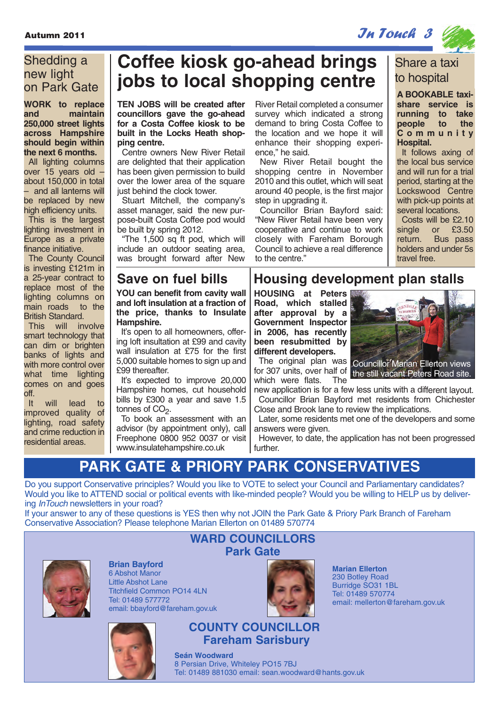### $\mathcal{J}$ utumn 2011  $\mathcal{J}$   $\mathcal{J}$   $\mathcal{J}$   $\mathcal{J}$   $\mathcal{J}$   $\mathcal{J}$   $\mathcal{J}$   $\mathcal{J}$   $\mathcal{J}$   $\mathcal{J}$   $\mathcal{J}$   $\mathcal{J}$   $\mathcal{J}$   $\mathcal{J}$   $\mathcal{J}$   $\mathcal{J}$   $\mathcal{J}$   $\mathcal{J}$   $\mathcal{J}$   $\mathcal{J}$   $\mathcal{J}$   $\mathcal{J}$   $\mathcal$

### Shedding a new light on Park Gate

**WORK to replace and maintain 250,000 street lights across Hampshire should begin within the next 6 months.**

All lighting columns over 15 years old – about 150,000 in total – and all lanterns will be replaced by new high efficiency units.

This is the largest lighting investment in Europe as a private finance initiative.

The County Council is investing £121m in a 25-year contract to replace most of the lighting columns on<br>main roads to the main roads British Standard.

This will involve smart technology that can dim or brighten banks of lights and with more control over what time lighting comes on and goes off.

It will lead to improved quality of lighting, road safety and crime reduction in residential areas.

### **Coffee kiosk go-ahead brings jobs to local shopping centre**

**TEN JOBS will be created after councillors gave the go-ahead for a Costa Coffee kiosk to be built in the Locks Heath shopping centre.**

Centre owners New River Retail are delighted that their application has been given permission to build over the lower area of the square just behind the clock tower.

Stuart Mitchell, the company's asset manager, said the new purpose-built Costa Coffee pod would be built by spring 2012.

"The 1,500 sq ft pod, which will include an outdoor seating area, was brought forward after New

**YOU can benefit from cavity wall and loft insulation at a fraction of the price, thanks to Insulate Hampshire.** 

It's open to all homeowners, offering loft insultation at £99 and cavity wall insulation at £75 for the first 5,000 suitable homes to sign up and £99 thereafter.

It's expected to improve 20,000 Hampshire homes, cut household bills by £300 a year and save 1.5 tonnes of CO<sub>2</sub>.

To book an assessment with an advisor (by appointment only), call Freephone 0800 952 0037 or visit www.insulatehampshire.co.uk

River Retail completed a consumer survey which indicated a strong demand to bring Costa Coffee to the location and we hope it will enhance their shopping experience," he said.

New River Retail bought the shopping centre in November 2010 and this outlet, which will seat around 40 people, is the first major step in upgrading it.

Councillor Brian Bayford said: "New River Retail have been very cooperative and continue to work closely with Fareham Borough Council to achieve a real difference to the centre."



**A BOOKABLE taxishare service is running to take** people **Community Hospital.**

It follows axing of the local bus service and will run for a trial period, starting at the Lockswood Centre with pick-up points at several locations.

Costs will be £2.10 single or £3.50 return. Bus pass holders and under 5s travel free.

### **Save on fuel bills Housing development plan stalls**

**HOUSING at Peters Road, which stalled after approval by a Government Inspector in 2006, has recently been resubmitted by different developers.** 

The original plan was Councillor Marian Ellerton views for 307 units, over half of the still vacant Peters Road site. which were flats. The

new application is for a few less units with a different layout. Councillor Brian Bayford met residents from Chichester Close and Brook lane to review the implications.

Later, some residents met one of the developers and some answers were given.

However, to date, the application has not been progressed further.

### **PARK GATE & PRIORY PARK CONSERVATIVES**

Do you support Conservative principles? Would you like to VOTE to select your Council and Parliamentary candidates? Would you like to ATTEND social or political events with like-minded people? Would you be willing to HELP us by delivering *InTouch* newsletters in your road?

If your answer to any of these questions is YES then why not JOIN the Park Gate & Priory Park Branch of Fareham Conservative Association? Please telephone Marian Ellerton on 01489 570774



**Brian Bayford** 6 Abshot Manor Little Abshot Lane Titchfield Common PO14 4LN Tel: 01489 577772 email: bbayford@fareham.gov.uk



### **WARD COUNCILLORS Park Gate**



**Marian Ellerton** 230 Botley Road Burridge SO31 1BL Tel: 01489 570774 email: mellerton@fareham.gov.uk

**COUNTY COUNCILLOR Fareham Sarisbury**

**Seán Woodward** 8 Persian Drive, Whiteley PO15 7BJ Tel: 01489 881030 email: sean.woodward@hants.gov.uk